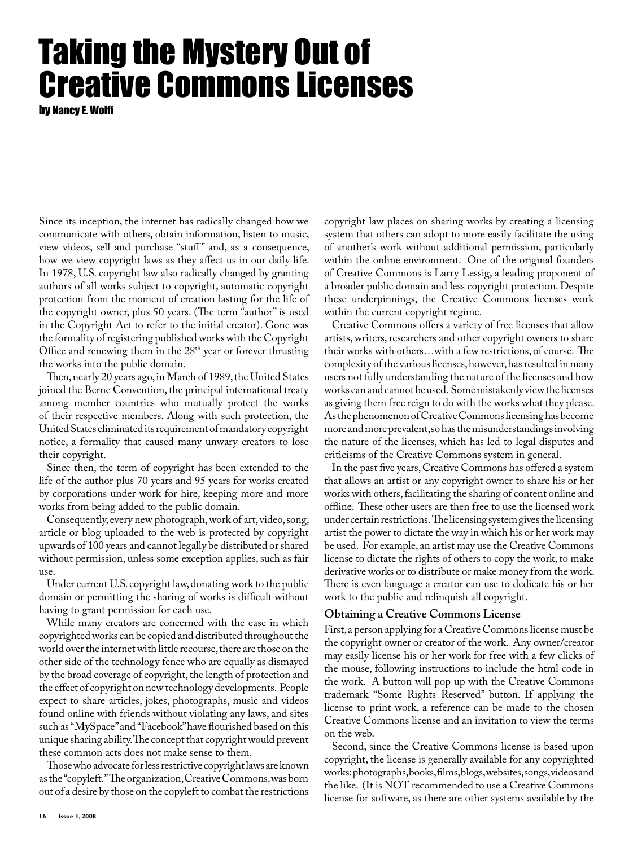## Taking the Mystery Out of Creative Commons Licenses

by Nancy E. Wolff

Since its inception, the internet has radically changed how we communicate with others, obtain information, listen to music, view videos, sell and purchase "stuff" and, as a consequence, how we view copyright laws as they affect us in our daily life. In 1978, U.S. copyright law also radically changed by granting authors of all works subject to copyright, automatic copyright protection from the moment of creation lasting for the life of the copyright owner, plus 50 years. (The term "author" is used in the Copyright Act to refer to the initial creator). Gone was the formality of registering published works with the Copyright Office and renewing them in the 28<sup>th</sup> year or forever thrusting the works into the public domain.

Then, nearly 20 years ago, in March of 1989, the United States joined the Berne Convention, the principal international treaty among member countries who mutually protect the works of their respective members. Along with such protection, the United States eliminated its requirement of mandatory copyright notice, a formality that caused many unwary creators to lose their copyright.

Since then, the term of copyright has been extended to the life of the author plus 70 years and 95 years for works created by corporations under work for hire, keeping more and more works from being added to the public domain.

Consequently, every new photograph, work of art, video, song, article or blog uploaded to the web is protected by copyright upwards of 100 years and cannot legally be distributed or shared without permission, unless some exception applies, such as fair use.

Under current U.S. copyright law, donating work to the public domain or permitting the sharing of works is difficult without having to grant permission for each use.

While many creators are concerned with the ease in which copyrighted works can be copied and distributed throughout the world over the internet with little recourse, there are those on the other side of the technology fence who are equally as dismayed by the broad coverage of copyright, the length of protection and the effect of copyright on new technology developments. People expect to share articles, jokes, photographs, music and videos found online with friends without violating any laws, and sites such as "MySpace" and "Facebook" have flourished based on this unique sharing ability. The concept that copyright would prevent these common acts does not make sense to them.

Those who advocate for less restrictive copyright laws are known as the "copyleft." The organization, Creative Commons, was born out of a desire by those on the copyleft to combat the restrictions

copyright law places on sharing works by creating a licensing system that others can adopt to more easily facilitate the using of another's work without additional permission, particularly within the online environment. One of the original founders of Creative Commons is Larry Lessig, a leading proponent of a broader public domain and less copyright protection. Despite these underpinnings, the Creative Commons licenses work within the current copyright regime.

Creative Commons offers a variety of free licenses that allow artists, writers, researchers and other copyright owners to share their works with others…with a few restrictions, of course. The complexity of the various licenses, however, has resulted in many users not fully understanding the nature of the licenses and how works can and cannot be used. Some mistakenly view the licenses as giving them free reign to do with the works what they please. As the phenomenon of Creative Commons licensing has become more and more prevalent, so has the misunderstandings involving the nature of the licenses, which has led to legal disputes and criticisms of the Creative Commons system in general.

In the past five years, Creative Commons has offered a system that allows an artist or any copyright owner to share his or her works with others, facilitating the sharing of content online and offline. These other users are then free to use the licensed work under certain restrictions. The licensing system gives the licensing artist the power to dictate the way in which his or her work may be used. For example, an artist may use the Creative Commons license to dictate the rights of others to copy the work, to make derivative works or to distribute or make money from the work. There is even language a creator can use to dedicate his or her work to the public and relinquish all copyright.

## **Obtaining a Creative Commons License**

First, a person applying for a Creative Commons license must be the copyright owner or creator of the work. Any owner/creator may easily license his or her work for free with a few clicks of the mouse, following instructions to include the html code in the work. A button will pop up with the Creative Commons trademark "Some Rights Reserved" button. If applying the license to print work, a reference can be made to the chosen Creative Commons license and an invitation to view the terms on the web.

Second, since the Creative Commons license is based upon copyright, the license is generally available for any copyrighted works: photographs, books, films, blogs, websites, songs, videos and the like. (It is NOT recommended to use a Creative Commons license for software, as there are other systems available by the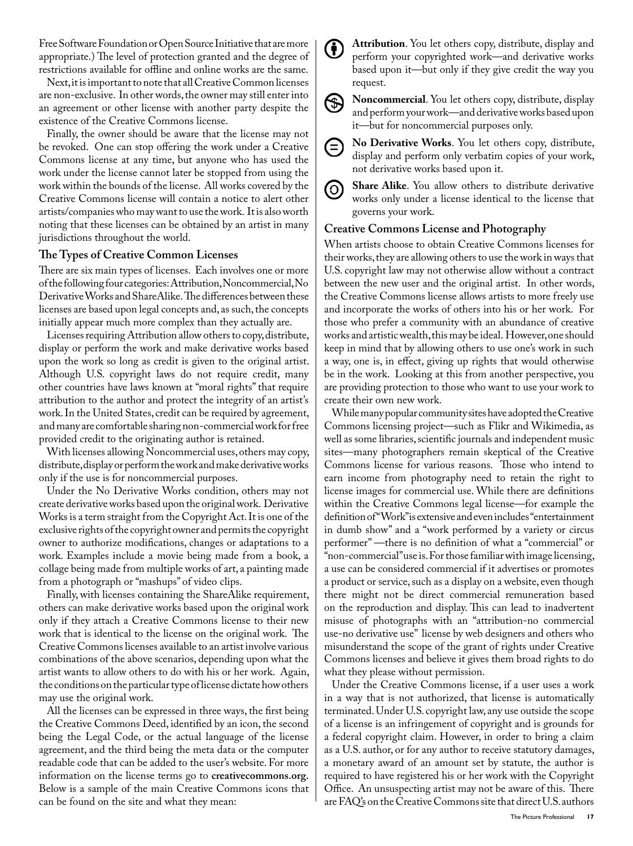Free Software Foundation or Open Source Initiative that are more appropriate.) The level of protection granted and the degree of restrictions available for offline and online works are the same.

Next, it is important to note that all Creative Common licenses are non-exclusive. In other words, the owner may still enter into an agreement or other license with another party despite the existence of the Creative Commons license.

Finally, the owner should be aware that the license may not be revoked. One can stop offering the work under a Creative Commons license at any time, but anyone who has used the work under the license cannot later be stopped from using the work within the bounds of the license. All works covered by the Creative Commons license will contain a notice to alert other artists/companies who may want to use the work. It is also worth noting that these licenses can be obtained by an artist in many jurisdictions throughout the world.

## **The Types of Creative Common Licenses**

There are six main types of licenses. Each involves one or more of the following four categories: Attribution, Noncommercial, No Derivative Works and ShareAlike. The differences between these licenses are based upon legal concepts and, as such, the concepts initially appear much more complex than they actually are.

Licenses requiring Attribution allow others to copy, distribute, display or perform the work and make derivative works based upon the work so long as credit is given to the original artist. Although U.S. copyright laws do not require credit, many other countries have laws known at "moral rights" that require attribution to the author and protect the integrity of an artist's work. In the United States, credit can be required by agreement, and many are comfortable sharing non-commercial work for free provided credit to the originating author is retained.

With licenses allowing Noncommercial uses, others may copy, distribute, display or perform the work and make derivative works only if the use is for noncommercial purposes.

Under the No Derivative Works condition, others may not create derivative works based upon the original work. Derivative Works is a term straight from the Copyright Act. It is one of the exclusive rights of the copyright owner and permits the copyright owner to authorize modifications, changes or adaptations to a work. Examples include a movie being made from a book, a collage being made from multiple works of art, a painting made from a photograph or "mashups" of video clips.

Finally, with licenses containing the ShareAlike requirement, others can make derivative works based upon the original work only if they attach a Creative Commons license to their new work that is identical to the license on the original work. The Creative Commons licenses available to an artist involve various combinations of the above scenarios, depending upon what the artist wants to allow others to do with his or her work. Again, the conditions on the particular type of license dictate how others may use the original work.

All the licenses can be expressed in three ways, the first being the Creative Commons Deed, identified by an icon, the second being the Legal Code, or the actual language of the license agreement, and the third being the meta data or the computer readable code that can be added to the user's website. For more information on the license terms go to **creativecommons.org.**  Below is a sample of the main Creative Commons icons that can be found on the site and what they mean:

**Attribution**. You let others copy, distribute, display and (†) perform your copyrighted work—and derivative works based upon it—but only if they give credit the way you request.



**Noncommercial**. You let others copy, distribute, display and perform your work—and derivative works based upon it—but for noncommercial purposes only.



**No Derivative Works**. You let others copy, distribute, display and perform only verbatim copies of your work, not derivative works based upon it.

**Share Alike**. You allow others to distribute derivative (၀) works only under a license identical to the license that governs your work.

## **Creative Commons License and Photography**

When artists choose to obtain Creative Commons licenses for their works, they are allowing others to use the work in ways that U.S. copyright law may not otherwise allow without a contract between the new user and the original artist. In other words, the Creative Commons license allows artists to more freely use and incorporate the works of others into his or her work. For those who prefer a community with an abundance of creative works and artistic wealth, this may be ideal. However, one should keep in mind that by allowing others to use one's work in such a way, one is, in effect, giving up rights that would otherwise be in the work. Looking at this from another perspective, you are providing protection to those who want to use your work to create their own new work.

While many popular community sites have adopted the Creative Commons licensing project—such as Flikr and Wikimedia, as well as some libraries, scientific journals and independent music sites—many photographers remain skeptical of the Creative Commons license for various reasons. Those who intend to earn income from photography need to retain the right to license images for commercial use. While there are definitions within the Creative Commons legal license—for example the definition of "Work" is extensive and even includes "entertainment in dumb show" and a "work performed by a variety or circus performer" —there is no definition of what a "commercial" or "non-commercial" use is. For those familiar with image licensing, a use can be considered commercial if it advertises or promotes a product or service, such as a display on a website, even though there might not be direct commercial remuneration based on the reproduction and display. This can lead to inadvertent misuse of photographs with an "attribution-no commercial use-no derivative use" license by web designers and others who misunderstand the scope of the grant of rights under Creative Commons licenses and believe it gives them broad rights to do what they please without permission.

Under the Creative Commons license, if a user uses a work in a way that is not authorized, that license is automatically terminated. Under U.S. copyright law, any use outside the scope of a license is an infringement of copyright and is grounds for a federal copyright claim. However, in order to bring a claim as a U.S. author, or for any author to receive statutory damages, a monetary award of an amount set by statute, the author is required to have registered his or her work with the Copyright Office. An unsuspecting artist may not be aware of this. There are FAQ's on the Creative Commons site that direct U.S. authors